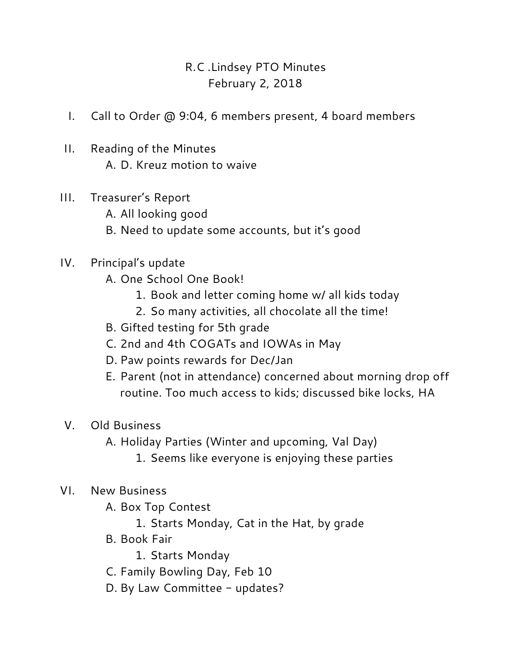## R.C .Lindsey PTO Minutes February 2, 2018

- I. Call to Order @ 9:04, 6 members present, 4 board members
- II. Reading of the Minutes A. D. Kreuz motion to waive
- III. Treasurer's Report
	- A. All looking good
	- B. Need to update some accounts, but it's good
- IV. Principal's update
	- A. One School One Book!
		- 1. Book and letter coming home w/ all kids today
		- 2. So many activities, all chocolate all the time!
	- B. Gifted testing for 5th grade
	- C. 2nd and 4th COGATs and IOWAs in May
	- D. Paw points rewards for Dec/Jan
	- E. Parent (not in attendance) concerned about morning drop off routine. Too much access to kids; discussed bike locks, HA
- V. Old Business
	- A. Holiday Parties (Winter and upcoming, Val Day)
		- 1. Seems like everyone is enjoying these parties
- VI. New Business
	- A. Box Top Contest
		- 1. Starts Monday, Cat in the Hat, by grade
	- B. Book Fair
		- 1. Starts Monday
	- C. Family Bowling Day, Feb 10
	- D. By Law Committee updates?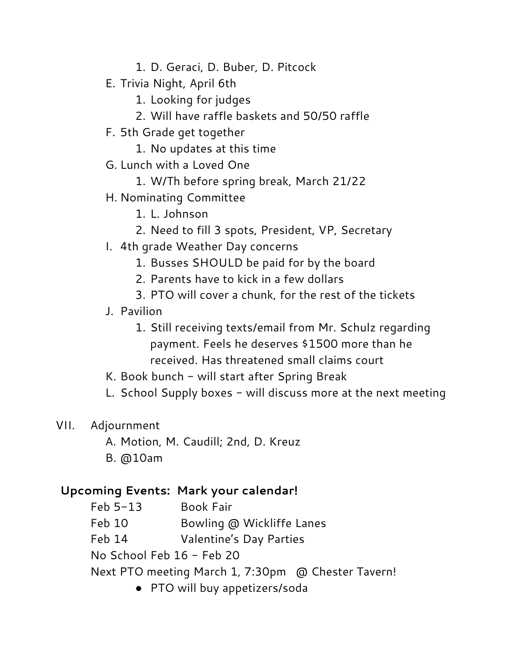- 1. D. Geraci, D. Buber, D. Pitcock
- E. Trivia Night, April 6th
	- 1. Looking for judges
	- 2. Will have raffle baskets and 50/50 raffle
- F. 5th Grade get together
	- 1. No updates at this time
- G. Lunch with a Loved One
	- 1. W/Th before spring break, March 21/22
- H. Nominating Committee
	- 1. L. Johnson
	- 2. Need to fill 3 spots, President, VP, Secretary
- I. 4th grade Weather Day concerns
	- 1. Busses SHOULD be paid for by the board
	- 2. Parents have to kick in a few dollars
	- 3. PTO will cover a chunk, for the rest of the tickets
- J. Pavilion
	- 1. Still receiving texts/email from Mr. Schulz regarding payment. Feels he deserves \$1500 more than he received. Has threatened small claims court
- K. Book bunch will start after Spring Break
- L. School Supply boxes  $-$  will discuss more at the next meeting
- VII. Adjournment
	- A. Motion, M. Caudill; 2nd, D. Kreuz
	- B. @10am

## **Upcoming Events: Mark your calendar!**

Feb 5-13 Book Fair Feb 10 Bowling @ Wickliffe Lanes Feb 14 Valentine's Day Parties No School Feb 16 - Feb 20 Next PTO meeting March 1, 7:30pm @ Chester Tavern! ● PTO will buy appetizers/soda